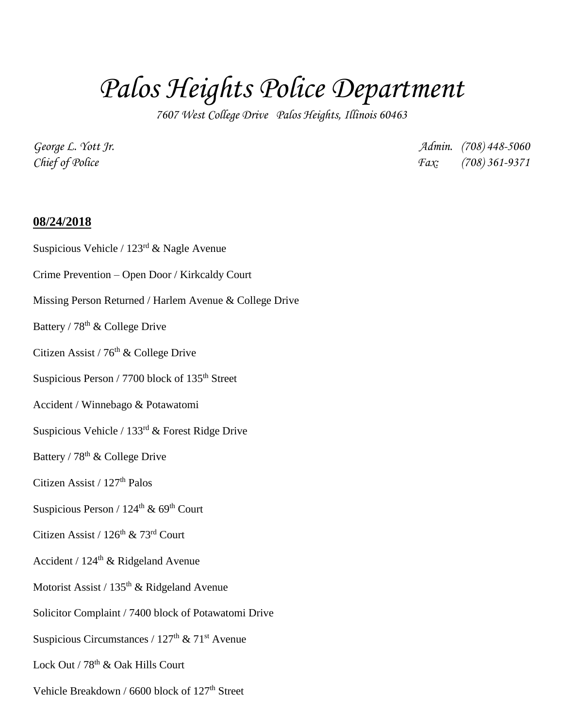# *Palos Heights Police Department*

*7607 West College Drive Palos Heights, Illinois 60463*

*George L. Yott Jr. Admin. (708) 448-5060 Chief of Police Fax: (708) 361-9371*

#### **08/24/2018**

- Suspicious Vehicle /  $123<sup>rd</sup>$  & Nagle Avenue
- Crime Prevention Open Door / Kirkcaldy Court
- Missing Person Returned / Harlem Avenue & College Drive
- Battery /  $78<sup>th</sup>$  & College Drive
- Citizen Assist /  $76<sup>th</sup>$  & College Drive
- Suspicious Person / 7700 block of 135<sup>th</sup> Street
- Accident / Winnebago & Potawatomi
- Suspicious Vehicle / 133rd & Forest Ridge Drive
- Battery /  $78<sup>th</sup>$  & College Drive

### Citizen Assist /  $127<sup>th</sup>$  Palos

- Suspicious Person /  $124<sup>th</sup>$  & 69<sup>th</sup> Court
- Citizen Assist /  $126^{\text{th}}$  &  $73^{\text{rd}}$  Court
- Accident / 124th & Ridgeland Avenue
- Motorist Assist /  $135<sup>th</sup>$  & Ridgeland Avenue
- Solicitor Complaint / 7400 block of Potawatomi Drive
- Suspicious Circumstances /  $127<sup>th</sup>$  &  $71<sup>st</sup>$  Avenue
- Lock Out / 78<sup>th</sup> & Oak Hills Court
- Vehicle Breakdown / 6600 block of  $127<sup>th</sup>$  Street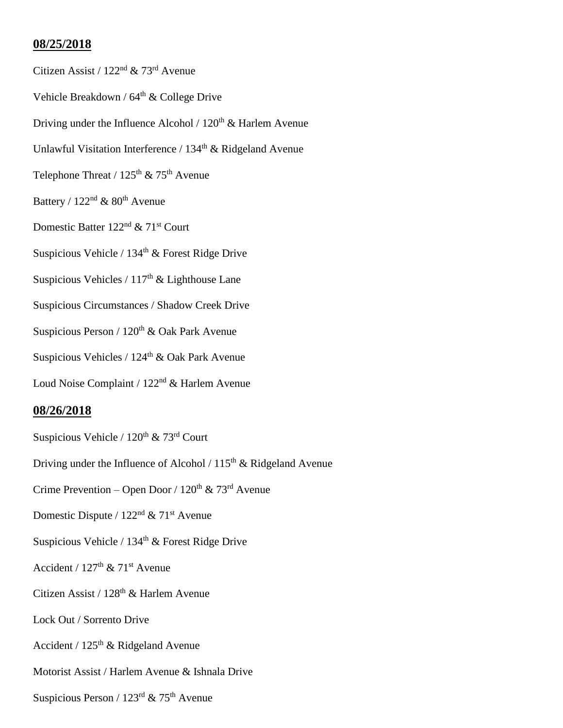## **08/25/2018**

Citizen Assist /  $122<sup>nd</sup>$  & 73<sup>rd</sup> Avenue Vehicle Breakdown /  $64<sup>th</sup>$  & College Drive Driving under the Influence Alcohol /  $120<sup>th</sup>$  & Harlem Avenue Unlawful Visitation Interference  $/134<sup>th</sup>$  & Ridgeland Avenue Telephone Threat /  $125<sup>th</sup>$  & 75<sup>th</sup> Avenue Battery /  $122<sup>nd</sup>$  &  $80<sup>th</sup>$  Avenue Domestic Batter 122<sup>nd</sup> & 71<sup>st</sup> Court Suspicious Vehicle /  $134<sup>th</sup>$  & Forest Ridge Drive Suspicious Vehicles /  $117<sup>th</sup>$  & Lighthouse Lane Suspicious Circumstances / Shadow Creek Drive Suspicious Person / 120<sup>th</sup> & Oak Park Avenue Suspicious Vehicles / 124<sup>th</sup> & Oak Park Avenue Loud Noise Complaint / 122nd & Harlem Avenue **08/26/2018** Suspicious Vehicle /  $120^{th}$  &  $73^{rd}$  Court Driving under the Influence of Alcohol /  $115<sup>th</sup>$  & Ridgeland Avenue Crime Prevention – Open Door /  $120^{th}$  &  $73^{rd}$  Avenue

- Domestic Dispute /  $122<sup>nd</sup>$  &  $71<sup>st</sup>$  Avenue
- Suspicious Vehicle /  $134<sup>th</sup>$  & Forest Ridge Drive
- Accident /  $127<sup>th</sup>$  &  $71<sup>st</sup>$  Avenue
- Citizen Assist / 128<sup>th</sup> & Harlem Avenue

Lock Out / Sorrento Drive

- Accident /  $125<sup>th</sup>$  & Ridgeland Avenue
- Motorist Assist / Harlem Avenue & Ishnala Drive
- Suspicious Person /  $123<sup>rd</sup>$  &  $75<sup>th</sup>$  Avenue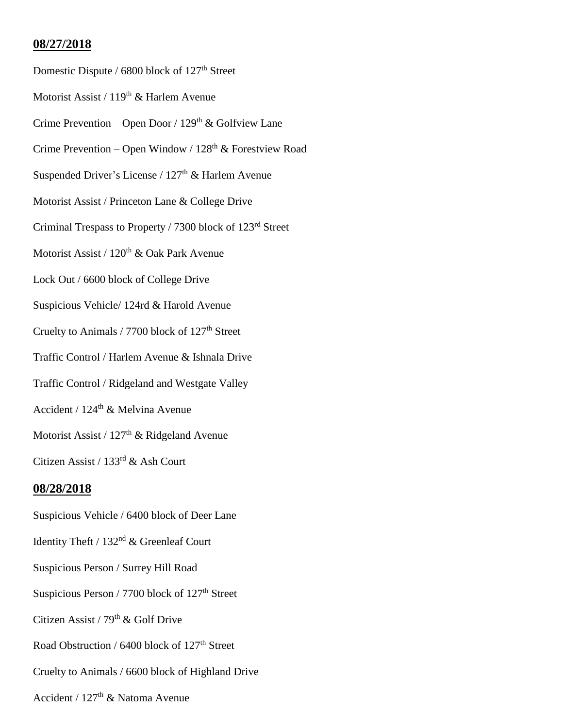#### **08/27/2018**

- Domestic Dispute /  $6800$  block of  $127<sup>th</sup>$  Street Motorist Assist /  $119^{th}$  & Harlem Avenue Crime Prevention – Open Door /  $129<sup>th</sup>$  & Golfview Lane Crime Prevention – Open Window /  $128<sup>th</sup>$  & Forestview Road Suspended Driver's License /  $127<sup>th</sup>$  & Harlem Avenue Motorist Assist / Princeton Lane & College Drive Criminal Trespass to Property / 7300 block of 123rd Street Motorist Assist /  $120<sup>th</sup>$  & Oak Park Avenue Lock Out / 6600 block of College Drive Suspicious Vehicle/ 124rd & Harold Avenue Cruelty to Animals / 7700 block of  $127<sup>th</sup>$  Street Traffic Control / Harlem Avenue & Ishnala Drive Traffic Control / Ridgeland and Westgate Valley Accident /  $124^{\text{th}}$  & Melvina Avenue Motorist Assist /  $127^{\rm th}$  & Ridgeland Avenue Citizen Assist / 133rd & Ash Court **08/28/2018** Suspicious Vehicle / 6400 block of Deer Lane Identity Theft / 132nd & Greenleaf Court Suspicious Person / Surrey Hill Road
- Suspicious Person / 7700 block of 127<sup>th</sup> Street
- Citizen Assist / 79<sup>th</sup> & Golf Drive
- Road Obstruction / 6400 block of 127<sup>th</sup> Street
- Cruelty to Animals / 6600 block of Highland Drive
- Accident / 127<sup>th</sup> & Natoma Avenue